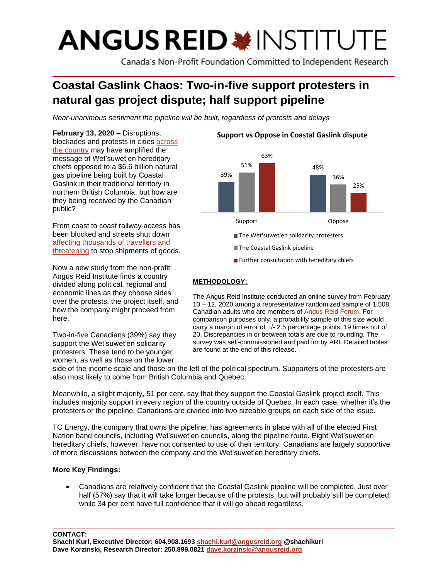# **ANGUS REID \*INSTITUTE**

Canada's Non-Profit Foundation Committed to Independent Research

# **Coastal Gaslink Chaos: Two-in-five support protesters in natural gas project dispute; half support pipeline**

*Near-unanimous sentiment the pipeline will be built, regardless of protests and delays*

**February 13, 2020 –** Disruptions, blockades and protests in cities [across](https://www.ctvnews.ca/canada/anti-pipeline-rallies-supporting-wet-suwet-en-block-train-ferry-routes-1.4806136)  [the country](https://www.ctvnews.ca/canada/anti-pipeline-rallies-supporting-wet-suwet-en-block-train-ferry-routes-1.4806136) may have amplified the message of Wet'suwet'en hereditary chiefs opposed to a \$6.6 billion natural gas pipeline being built by Coastal Gaslink in their traditional territory in northern British Columbia, but how are they being received by the Canadian public?

From coast to coast railway access has been blocked and streets shut down [affecting thousands of travellers and](https://nationalpost.com/news/canada/wetsuweten-solidarity-blockade-cn-rail-says-significant-parts-of-rail-network-may-close-if-protests-go-on)  [threatening](https://nationalpost.com/news/canada/wetsuweten-solidarity-blockade-cn-rail-says-significant-parts-of-rail-network-may-close-if-protests-go-on) to stop shipments of goods.

Now a new study from the non-profit Angus Reid Institute finds a country divided along political, regional and economic lines as they choose sides over the protests, the project itself, and how the company might proceed from here.

Two-in-five Canadians (39%) say they support the Wet'suwet'en solidarity protesters. These tend to be younger women, as well as those on the lower



The Angus Reid Institute conducted an online survey from February 10 – 12, 2020 among a representative randomized sample of 1,508 Canadian adults who are members o[f Angus](http://www.angusreidforum.com/) Reid Forum. For comparison purposes only, a probability sample of this size would carry a margin of error of +/- 2.5 percentage points, 19 times out of 20. Discrepancies in or between totals are due to rounding. The survey was self-commissioned and paid for by ARI. Detailed tables are found at the end of this release.

side of the income scale and those on the left of the political spectrum. Supporters of the protesters are also most likely to come from British Columbia and Quebec.

Meanwhile, a slight majority, 51 per cent, say that they support the Coastal Gaslink project itself. This includes majority support in every region of the country outside of Quebec. In each case, whether it's the protesters or the pipeline, Canadians are divided into two sizeable groups on each side of the issue.

TC Energy, the company that owns the pipeline, has agreements in place with all of the elected First Nation band councils, including Wet'suwet'en councils, along the pipeline route. Eight Wet'suwet'en hereditary chiefs, however, have not consented to use of their territory. Canadians are largely supportive of more discussions between the company and the Wet'suwet'en hereditary chiefs.

# **More Key Findings:**

• Canadians are relatively confident that the Coastal Gaslink pipeline will be completed. Just over half (57%) say that it will take longer because of the protests, but will probably still be completed, while 34 per cent have full confidence that it will go ahead regardless.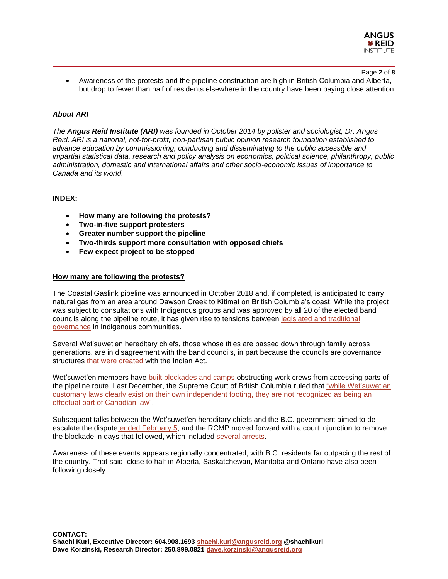

#### Page **2** of **8**

• Awareness of the protests and the pipeline construction are high in British Columbia and Alberta, but drop to fewer than half of residents elsewhere in the country have been paying close attention

# *About ARI*

*The Angus Reid Institute (ARI) was founded in October 2014 by pollster and sociologist, Dr. Angus Reid. ARI is a national, not-for-profit, non-partisan public opinion research foundation established to advance education by commissioning, conducting and disseminating to the public accessible and impartial statistical data, research and policy analysis on economics, political science, philanthropy, public administration, domestic and international affairs and other socio-economic issues of importance to Canada and its world.*

# **INDEX:**

- **How many are following the protests?**
- **Two-in-five support protesters**
- **Greater number support the pipeline**
- **Two-thirds support more consultation with opposed chiefs**
- **Few expect project to be stopped**

## **How many are following the protests?**

The Coastal Gaslink pipeline was announced in October 2018 and, if completed, is anticipated to carry natural gas from an area around Dawson Creek to Kitimat on British Columbia's coast. While the project was subject to consultations with Indigenous groups and was approved by all 20 of the elected band councils along the pipeline route, it has given rise to tensions between legislated and traditional [governance](https://www.cgai.ca/first_nations_lng_canada_and_the_politics_of_anti_pipeline_protests) in Indigenous communities.

Several Wet'suwet'en hereditary chiefs, those whose titles are passed down through family across generations, are in disagreement with the band councils, in part because the councils are governance structures [that were](https://indigenousfoundations.arts.ubc.ca/the_indian_act/) created with the Indian Act.

Wet'suwet'en members have [built blockades and camps](https://www.theglobeandmail.com/canada/british-columbia/article-wetsuweten-coastal-gaslink-pipeline-rcmp-explainer/) obstructing work crews from accessing parts of the pipeline route. Last December, the Supreme Court of British Columbia ruled that ["while Wet'suwet'en](https://business.financialpost.com/commodities/b-c-s-top-court-rules-for-6-6-billion-coastal-gaslink-pipeline-against-indigenous-law)  [customary laws clearly exist on their own independent footing, they are not recognized as being an](https://business.financialpost.com/commodities/b-c-s-top-court-rules-for-6-6-billion-coastal-gaslink-pipeline-against-indigenous-law)  [effectual part of Canadian law".](https://business.financialpost.com/commodities/b-c-s-top-court-rules-for-6-6-billion-coastal-gaslink-pipeline-against-indigenous-law)

Subsequent talks between the Wet'suwet'en hereditary chiefs and the B.C. government aimed to deescalate the dispute [ended](https://www.theglobeandmail.com/canada/british-columbia/article-pipeline-talks-between-bc-government-wetsuweten-hereditary-chiefs/) February 5, and the RCMP moved forward with a court injunction to remove the blockade in days that followed, which included [several arrests.](https://www.cbc.ca/news/canada/british-columbia/wetsuweten-arrests-coastal-gaslink-pipeline-1.5454007)

Awareness of these events appears regionally concentrated, with B.C. residents far outpacing the rest of the country. That said, close to half in Alberta, Saskatchewan, Manitoba and Ontario have also been following closely:

**CONTACT: Shachi Kurl, Executive Director: 604.908.1693 [shachi.kurl@angusreid.org](mailto:shachi.kurl@angusreid.org) @shachikurl Dave Korzinski, Research Director: 250.899.0821 [dave.korzinski@angusreid.org](mailto:dave.korzinski@angusreid.org)**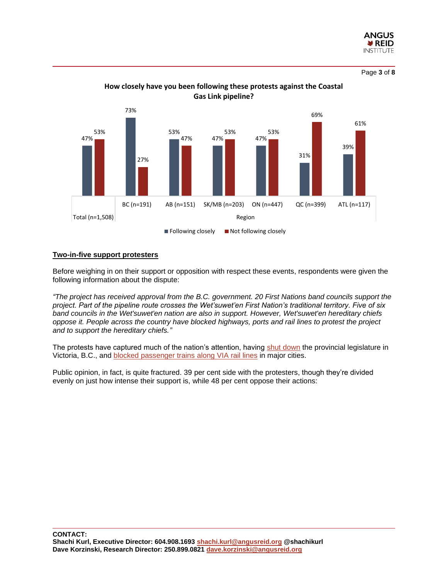

Page **3** of **8**



**How closely have you been following these protests against the Coastal Gas Link pipeline?**

## **Two-in-five support protesters**

Before weighing in on their support or opposition with respect these events, respondents were given the following information about the dispute:

*"The project has received approval from the B.C. government. 20 First Nations band councils support the project. Part of the pipeline route crosses the Wet'suwet'en First Nation's traditional territory. Five of six band councils in the Wet'suwet'en nation are also in support. However, Wet'suwet'en hereditary chiefs oppose it. People across the country have blocked highways, ports and rail lines to protest the project and to support the hereditary chiefs."*

The protests have captured much of the nation's attention, having [shut down](https://vancouverisland.ctvnews.ca/victoria-councillors-join-anti-pipeline-protest-as-mayor-distances-city-from-their-actions-1.4807748) the provincial legislature in Victoria, B.C., and blocked [passenger trains](https://nationalpost.com/news/canada/wetsuweten-solidarity-blockade-cn-rail-says-significant-parts-of-rail-network-may-close-if-protests-go-on) along VIA rail lines in major cities.

Public opinion, in fact, is quite fractured. 39 per cent side with the protesters, though they're divided evenly on just how intense their support is, while 48 per cent oppose their actions: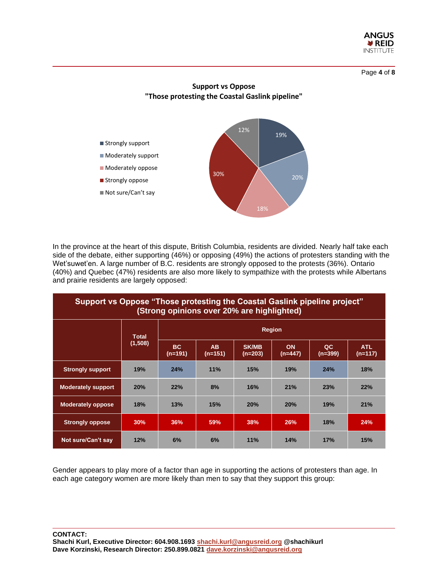

Page **4** of **8**



In the province at the heart of this dispute, British Columbia, residents are divided. Nearly half take each side of the debate, either supporting (46%) or opposing (49%) the actions of protesters standing with the Wet'suwet'en. A large number of B.C. residents are strongly opposed to the protests (36%). Ontario (40%) and Quebec (47%) residents are also more likely to sympathize with the protests while Albertans and prairie residents are largely opposed:

| Support vs Oppose "Those protesting the Coastal Gaslink pipeline project"<br>(Strong opinions over 20% are highlighted) |                         |                      |                           |                         |                        |                             |                         |  |  |  |
|-------------------------------------------------------------------------------------------------------------------------|-------------------------|----------------------|---------------------------|-------------------------|------------------------|-----------------------------|-------------------------|--|--|--|
|                                                                                                                         | <b>Total</b><br>(1,508) | <b>Region</b>        |                           |                         |                        |                             |                         |  |  |  |
|                                                                                                                         |                         | <b>BC</b><br>(n=191) | A <sub>B</sub><br>(n=151) | <b>SK/MB</b><br>(n=203) | <b>ON</b><br>$(n=447)$ | $\overline{a}$<br>$(n=399)$ | <b>ATL</b><br>$(n=117)$ |  |  |  |
| <b>Strongly support</b>                                                                                                 | 19%                     | 24%                  | 11%                       | 15%                     | 19%                    | 24%                         | 18%                     |  |  |  |
| <b>Moderately support</b>                                                                                               | 20%                     | 22%                  | 8%                        | 16%                     | 21%                    | 23%                         | 22%                     |  |  |  |
| <b>Moderately oppose</b>                                                                                                | 18%                     | 13%                  | 15%                       | 20%                     | 20%                    | 19%                         | 21%                     |  |  |  |
| <b>Strongly oppose</b>                                                                                                  | 30%                     | 36%                  | 59%                       | 38%                     | <b>26%</b>             | 18%                         | 24%                     |  |  |  |
| Not sure/Can't say                                                                                                      | 12%                     | 6%                   | 6%                        | 11%                     | 14%                    | 17%                         | 15%                     |  |  |  |

Gender appears to play more of a factor than age in supporting the actions of protesters than age. In each age category women are more likely than men to say that they support this group: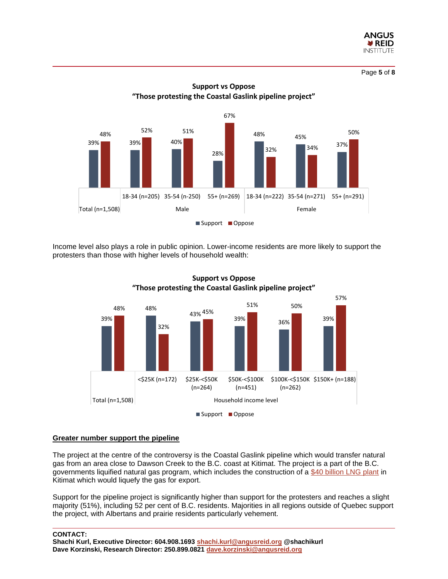

Page **5** of **8**



Income level also plays a role in public opinion. Lower-income residents are more likely to support the protesters than those with higher levels of household wealth:



**Support vs Oppose "Those protesting the Coastal Gaslink pipeline project"**

# **Greater number support the pipeline**

The project at the centre of the controversy is the Coastal Gaslink pipeline which would transfer natural gas from an area close to Dawson Creek to the B.C. coast at Kitimat. The project is a part of the B.C. governments liquified natural gas program, which includes the construction of a [\\$40 billion LNG plant](https://www.cbc.ca/news/canada/british-columbia/kitimat-lng-canada-1.4845831) in Kitimat which would liquefy the gas for export.

Support for the pipeline project is significantly higher than support for the protesters and reaches a slight majority (51%), including 52 per cent of B.C. residents. Majorities in all regions outside of Quebec support the project, with Albertans and prairie residents particularly vehement.

**CONTACT:**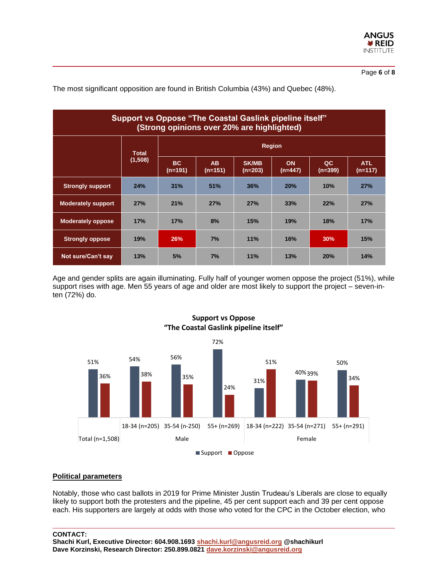

The most significant opposition are found in British Columbia (43%) and Quebec (48%).

| Support vs Oppose "The Coastal Gaslink pipeline itself"<br>(Strong opinions over 20% are highlighted) |                         |                      |                        |                         |                        |                 |                         |  |  |  |
|-------------------------------------------------------------------------------------------------------|-------------------------|----------------------|------------------------|-------------------------|------------------------|-----------------|-------------------------|--|--|--|
|                                                                                                       | <b>Total</b><br>(1,508) | <b>Region</b>        |                        |                         |                        |                 |                         |  |  |  |
|                                                                                                       |                         | <b>BC</b><br>(n=191) | <b>AB</b><br>$(n=151)$ | <b>SK/MB</b><br>(n=203) | <b>ON</b><br>$(n=447)$ | QC<br>$(n=399)$ | <b>ATL</b><br>$(n=117)$ |  |  |  |
| <b>Strongly support</b>                                                                               | 24%                     | 31%                  | 51%                    | 36%                     | 20%                    | 10%             | 27%                     |  |  |  |
| <b>Moderately support</b>                                                                             | 27%                     | 21%                  | 27%                    | 27%                     | 33%                    | 22%             | 27%                     |  |  |  |
| <b>Moderately oppose</b>                                                                              | 17%                     | 17%                  | 8%                     | 15%                     | 19%                    | 18%             | 17%                     |  |  |  |
| <b>Strongly oppose</b>                                                                                | 19%                     | 26%                  | 7%                     | 11%                     | 16%                    | 30%             | 15%                     |  |  |  |
| Not sure/Can't say                                                                                    | 13%                     | 5%                   | 7%                     | 11%                     | 13%                    | 20%             | 14%                     |  |  |  |

Age and gender splits are again illuminating. Fully half of younger women oppose the project (51%), while support rises with age. Men 55 years of age and older are most likely to support the project – seven-inten (72%) do.



# **Support vs Oppose "The Coastal Gaslink pipeline itself"**

# **Political parameters**

Notably, those who cast ballots in 2019 for Prime Minister Justin Trudeau's Liberals are close to equally likely to support both the protesters and the pipeline, 45 per cent support each and 39 per cent oppose each. His supporters are largely at odds with those who voted for the CPC in the October election, who

#### **CONTACT:**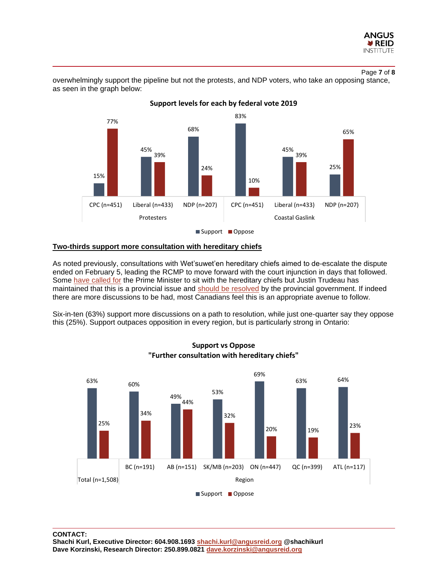

Page **7** of **8**

overwhelmingly support the pipeline but not the protests, and NDP voters, who take an opposing stance, as seen in the graph below:



## **Two-thirds support more consultation with hereditary chiefs**

As noted previously, consultations with Wet'suwet'en hereditary chiefs aimed to de-escalate the dispute ended on February 5, leading the RCMP to move forward with the court injunction in days that followed. Some [have called for](https://www.interior-news.com/local-news/bachrach-calls-on-trudeau-to-meet-with-hereditary-chiefs-in-cgl-dispute/) the Prime Minister to sit with the hereditary chiefs but Justin Trudeau has maintained that this is a provincial issue and [should be resolved](https://www.interior-news.com/local-news/bachrach-calls-on-trudeau-to-meet-with-hereditary-chiefs-in-cgl-dispute/) by the provincial government. If indeed there are more discussions to be had, most Canadians feel this is an appropriate avenue to follow.

Six-in-ten (63%) support more discussions on a path to resolution, while just one-quarter say they oppose this (25%). Support outpaces opposition in every region, but is particularly strong in Ontario:



# **Support vs Oppose "Further consultation with hereditary chiefs"**